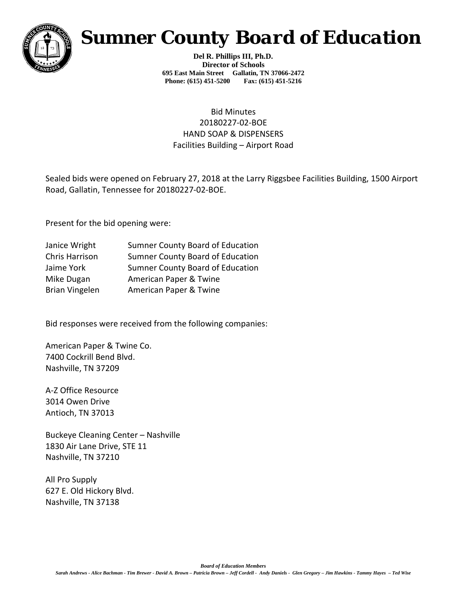

## *Sumner County Board of Education*

**Del R. Phillips III, Ph.D. Director of Schools 695 East Main Street Gallatin, TN 37066-2472 Phone: (615) 451-5200 Fax: (615) 451-5216** 

## Bid Minutes 20180227-02-BOE HAND SOAP & DISPENSERS Facilities Building – Airport Road

Sealed bids were opened on February 27, 2018 at the Larry Riggsbee Facilities Building, 1500 Airport Road, Gallatin, Tennessee for 20180227-02-BOE.

Present for the bid opening were:

| <b>Sumner County Board of Education</b> |
|-----------------------------------------|
| <b>Sumner County Board of Education</b> |
| Sumner County Board of Education        |
| American Paper & Twine                  |
| American Paper & Twine                  |
|                                         |

Bid responses were received from the following companies:

American Paper & Twine Co. 7400 Cockrill Bend Blvd. Nashville, TN 37209

A-Z Office Resource 3014 Owen Drive Antioch, TN 37013

Buckeye Cleaning Center – Nashville 1830 Air Lane Drive, STE 11 Nashville, TN 37210

All Pro Supply 627 E. Old Hickory Blvd. Nashville, TN 37138